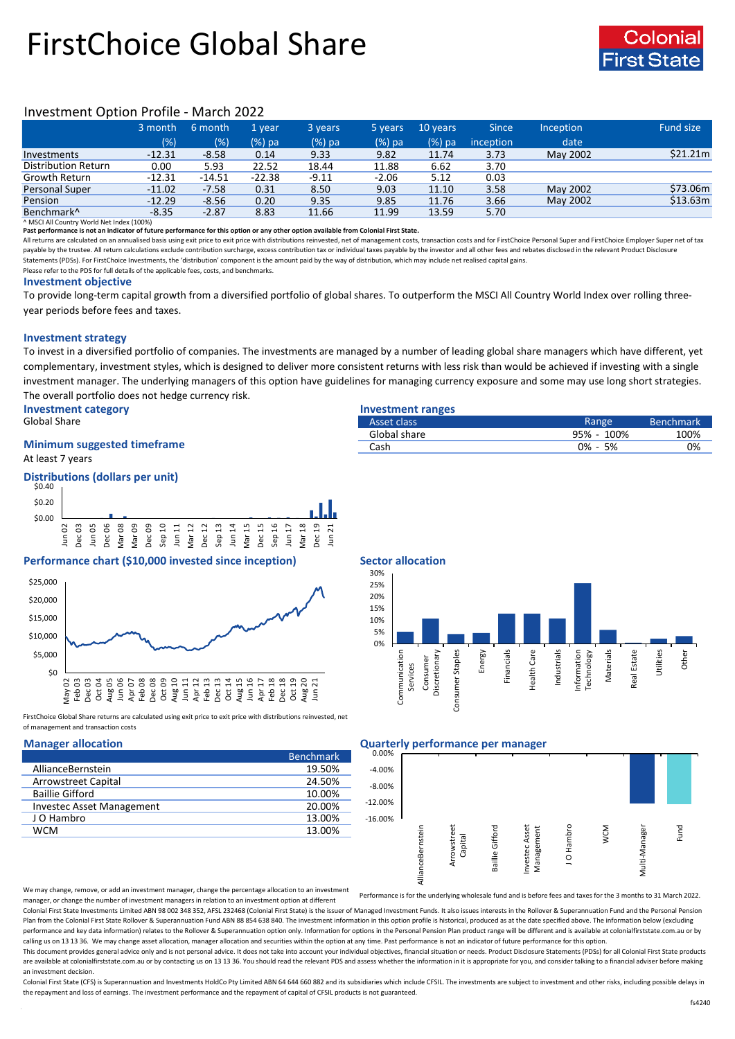# FirstChoice Global Share



# Investment Option Profile - March 2022

|                        | 3 month  | 6 month  | '1 vear  | 3 years | 5 years | 10 years | <b>Since</b> | Inception | Fund size |
|------------------------|----------|----------|----------|---------|---------|----------|--------------|-----------|-----------|
|                        | (% )     | (%)      | $(%)$ pa | (%) pa  | (%) pa  | $(%)$ pa | inception    | date      |           |
| Investments            | $-12.31$ | $-8.58$  | 0.14     | 9.33    | 9.82    | 11.74    | 3.73         | May 2002  | \$21.21m  |
| Distribution Return    | 0.00     | 5.93     | 22.52    | 18.44   | 11.88   | 6.62     | 3.70         |           |           |
| Growth Return          | $-12.31$ | $-14.51$ | $-22.38$ | $-9.11$ | $-2.06$ | 5.12     | 0.03         |           |           |
| Personal Super         | $-11.02$ | $-7.58$  | 0.31     | 8.50    | 9.03    | 11.10    | 3.58         | May 2002  | \$73.06m  |
| Pension                | $-12.29$ | $-8.56$  | 0.20     | 9.35    | 9.85    | 11.76    | 3.66         | May 2002  | \$13.63m  |
| Benchmark <sup>^</sup> | $-8.35$  | $-2.87$  | 8.83     | 11.66   | 11.99   | 13.59    | 5.70         |           |           |

^ MSCI All Country World Net Index (100%)

**Past performance is not an indicator of future performance for this option or any other option available from Colonial First State.**

All returns are calculated on an annualised basis using exit price to exit price with distributions reinvested, net of management costs, transaction costs and for FirstChoice Personal Super and FirstChoice Employer Super n payable by the trustee. All return calculations exclude contribution surcharge, excess contribution tax or individual taxes payable by the investor and all other fees and rebates disclosed in the relevant Product Disclosur Statements (PDSs). For FirstChoice Investments, the 'distribution' component is the amount paid by the way of distribution, which may include net realised capital gains.

Please refer to the PDS for full details of the applicable fees, costs, and benchmarks.

### **Investment objective**

To provide long-term capital growth from a diversified portfolio of global shares. To outperform the MSCI All Country World Index over rolling threeyear periods before fees and taxes.

### **Investment strategy**

To invest in a diversified portfolio of companies. The investments are managed by a number of leading global share managers which have different, yet complementary, investment styles, which is designed to deliver more consistent returns with less risk than would be achieved if investing with a single investment manager. The underlying managers of this option have guidelines for managing currency exposure and some may use long short strategies. The overall portfolio does not hedge currency risk.

**Investment category Investment ranges**<br> **Investment ranges**<br> **Investment ranges**<br> **Investment ranges** 

# **Minimum suggested timeframe**

At least 7 years

### **Distributions (dollars per unit)**



# **Performance chart (\$10,000 invested since inception)** Sector allocation



FirstChoice Global Share returns are calculated using exit price to exit price with distributions reinvested, net of management and transaction costs

|                                  | <b>Benchmark</b> |
|----------------------------------|------------------|
| AllianceBernstein                | 19.50%           |
| <b>Arrowstreet Capital</b>       | 24.50%           |
| <b>Baillie Gifford</b>           | 10.00%           |
| <b>Investec Asset Management</b> | 20.00%           |
| J O Hambro                       | 13.00%           |
| <b>WCM</b>                       | 13.00%           |

| Global Share                       | Asset class  | Range      | Benchmark <sup>1</sup> |
|------------------------------------|--------------|------------|------------------------|
|                                    | Global share | 95% - 100% | 100%                   |
| <b>Minimum suggested timeframe</b> | Cash         | 5%<br>0% - | 0%                     |
|                                    |              |            |                        |





### **Manager allocation Quarterly performance per manager**



We may change, remove, or add an investment manager, change the percentage allocation to an investment manager, or change the number of investment managers in relation to an investment option at different Performance is for the underlying wholesale fund and is before fees and taxes for the 3 months to 31 March 2022.

Colonial First State Investments Limited ABN 98 002 348 352, AFSL 232468 (Colonial First State) is the issuer of Managed Investment Funds. It also issues interests in the Rollover & Superannuation Fund and the Personal Pen Plan from the Colonial First State Rollover & Superannuation Fund ABN 88 854 638 840. The investment information in this option profile is historical, produced as at the date specified above. The information below (excludi performance and key data information) relates to the Rollover & Superannuation option only. Information for options in the Personal Pension Plan product range will be different and is available at colonialfirststate.com.au calling us on 13 13 36. We may change asset allocation, manager allocation and securities within the option at any time. Past performance is not an indicator of future performance for this option

This document provides general advice only and is not personal advice. It does not take into account your individual objectives, financial situation or needs. Product Disclosure Statements (PDSs) for all Colonial First Sta are available at colonialfirststate.com.au or by contacting us on 13 13 36. You should read the relevant PDS and assess whether the information in it is appropriate for you, and consider talking to a financial adviser befo an investment decision.

Colonial First State (CFS) is Superannuation and Investments HoldCo Ptv Limited ABN 64 644 660 882 and its subsidiaries which include CFSIL. The investments are subject to investment and other risks, including possible del the repayment and loss of earnings. The investment performance and the repayment of capital of CFSIL products is not guaranteed.